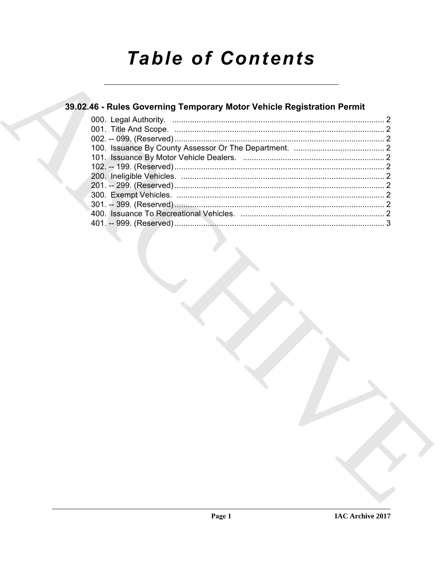# **Table of Contents**

### 39.02.46 - Rules Governing Temporary Motor Vehicle Registration Permit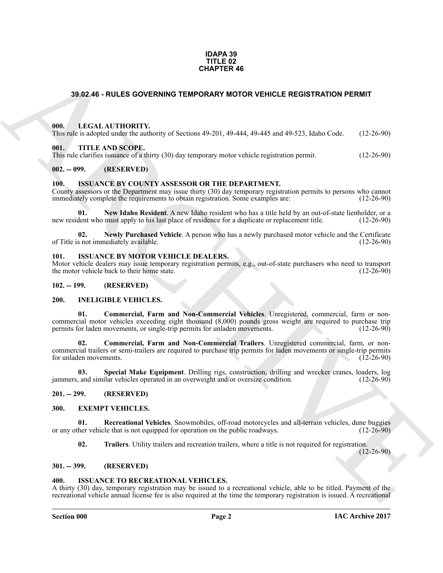#### **IDAPA 39 TITLE 02 CHAPTER 46**

### <span id="page-1-0"></span>**39.02.46 - RULES GOVERNING TEMPORARY MOTOR VEHICLE REGISTRATION PERMIT**

#### <span id="page-1-1"></span>**000. LEGAL AUTHORITY.**

This rule is adopted under the authority of Sections 49-201, 49-444, 49-445 and 49-523, Idaho Code. (12-26-90)

#### <span id="page-1-2"></span>**001. TITLE AND SCOPE.**

This rule clarifies issuance of a thirty (30) day temporary motor vehicle registration permit. (12-26-90)

#### <span id="page-1-3"></span>**002. -- 099. (RESERVED)**

#### <span id="page-1-19"></span><span id="page-1-4"></span>**100. ISSUANCE BY COUNTY ASSESSOR OR THE DEPARTMENT.**

County assessors or the Department may issue thirty (30) day temporary registration permits to persons who cannot immediately complete the requirements to obtain registration. Some examples are: (12-26-90) immediately complete the requirements to obtain registration. Some examples are:

<span id="page-1-20"></span>**01.** New Idaho Resident. A new Idaho resident who has a title held by an out-of-state lienholder, or a dent who must apply to his last place of residence for a duplicate or replacement title. (12-26-90) new resident who must apply to his last place of residence for a duplicate or replacement title.

<span id="page-1-21"></span>**02.** Newly Purchased Vehicle. A person who has a newly purchased motor vehicle and the Certificate s not immediately available. (12-26-90) of Title is not immediately available.

#### <span id="page-1-22"></span><span id="page-1-5"></span>**101. ISSUANCE BY MOTOR VEHICLE DEALERS.**

Motor vehicle dealers may issue temporary registration permits, e.g., out-of-state purchasers who need to transport the motor vehicle back to their home state. (12-26-90) the motor vehicle back to their home state.

#### <span id="page-1-15"></span><span id="page-1-6"></span>**102. -- 199. (RESERVED)**

#### <span id="page-1-7"></span>**200. INELIGIBLE VEHICLES.**

<span id="page-1-17"></span><span id="page-1-16"></span>**01. Commercial, Farm and Non-Commercial Vehicles**. Unregistered, commercial, farm or noncommercial motor vehicles exceeding eight thousand (8,000) pounds gross weight are required to purchase trip permits for laden movements. (12-26-90) permits for laden movements, or single-trip permits for unladen movements.

**39.02.46 - RULES GOVERNING** TEMPORARY MOTOR VEHICLE REGISTRATION PERMIT<br>
1911 - LEGAL AUTHORITY, while of Section 49-201, 49-444, 49-44-2014 45-1, Idao Code (12-26-90)<br>
1916 - In the ARCHIVED CONTROL (13-26-90)<br>
1916 - T **02. Commercial, Farm and Non-Commercial Trailers**. Unregistered commercial, farm, or noncommercial trailers or semi-trailers are required to purchase trip permits for laden movements or single-trip permits for unladen movements.

<span id="page-1-18"></span>**03.** Special Make Equipment. Drilling rigs, construction, drilling and wrecker cranes, loaders, log and similar vehicles operated in an overweight and/or oversize condition. (12-26-90) jammers, and similar vehicles operated in an overweight and/or oversize condition.

#### <span id="page-1-8"></span>**201. -- 299. (RESERVED)**

#### <span id="page-1-12"></span><span id="page-1-9"></span>**300. EXEMPT VEHICLES.**

**01. Recreational Vehicles**. Snowmobiles, off-road motorcycles and all-terrain vehicles, dune buggies then vehicle that is not equipped for operation on the public roadways. (12-26-90) or any other vehicle that is not equipped for operation on the public roadways.

<span id="page-1-14"></span><span id="page-1-13"></span>**02. Trailers**. Utility trailers and recreation trailers, where a title is not required for registration.

 $(12-26-90)$ 

#### <span id="page-1-10"></span>**301. -- 399. (RESERVED)**

#### <span id="page-1-23"></span><span id="page-1-11"></span>**400. ISSUANCE TO RECREATIONAL VEHICLES.**

A thirty (30) day, temporary registration may be issued to a recreational vehicle, able to be titled. Payment of the recreational vehicle annual license fee is also required at the time the temporary registration is issued. A recreational

#### **Section 000 Page 2**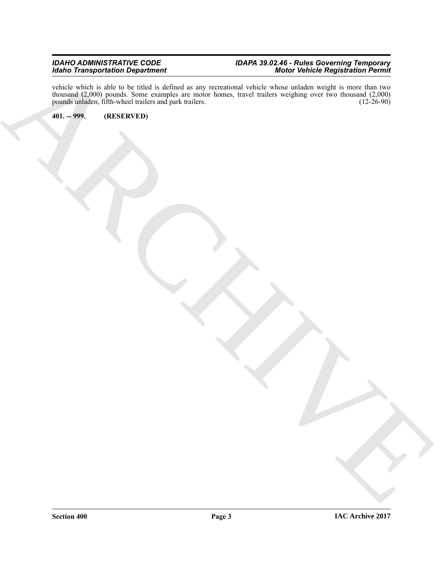#### *IDAHO ADMINISTRATIVE CODE IDAPA 39.02.46 - Rules Governing Temporary Idaho Transportation Department Motor Vehicle Registration Permit*

ARCHIVE vehicle which is able to be titled is defined as any recreational vehicle whose unladen weight is more than two thousand (2,000) pounds. Some examples are motor homes, travel trailers weighing over two thousand (2,000) pounds unladen, fifth-wheel trailers and park trailers. (12-26-90)

<span id="page-2-0"></span>**401. -- 999. (RESERVED)**